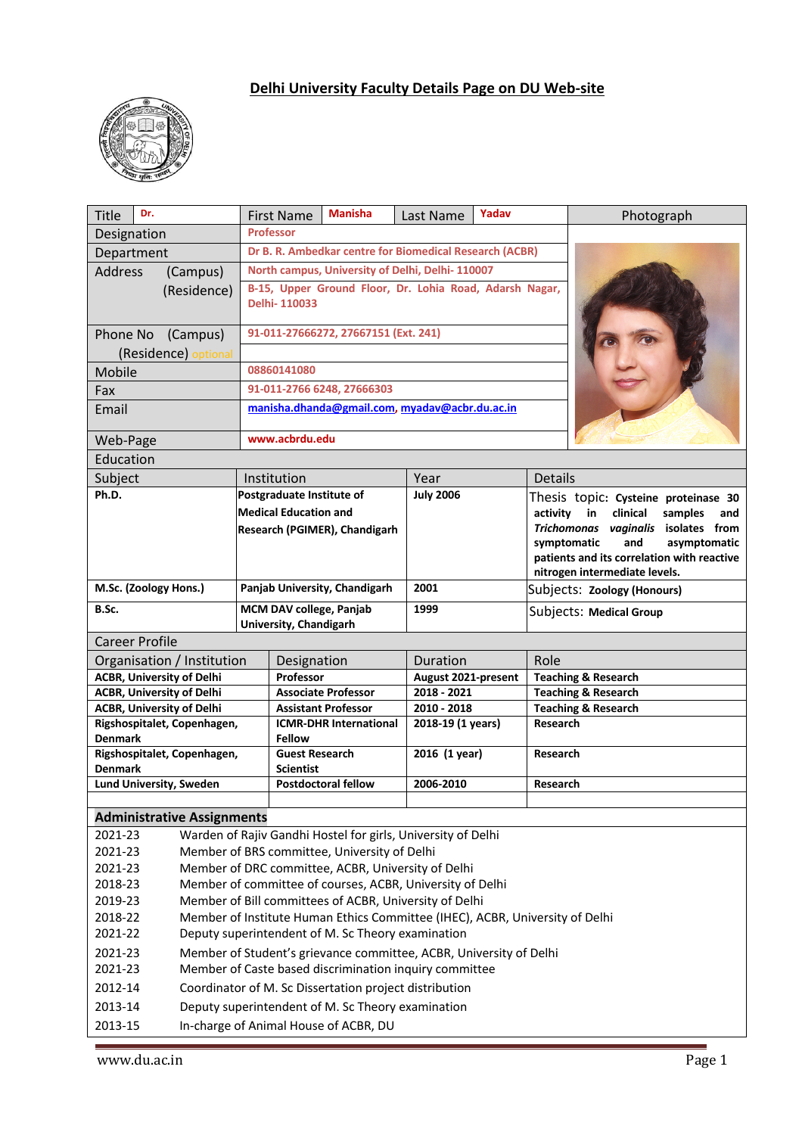# **Delhi University Faculty Details Page on DU Web-site**



| Dr.<br><b>Title</b>                                                                                          | <b>First Name</b>                                      | <b>Manisha</b>                                            | Last Name                                               | Yadav |                                                                               | Photograph                                 |  |
|--------------------------------------------------------------------------------------------------------------|--------------------------------------------------------|-----------------------------------------------------------|---------------------------------------------------------|-------|-------------------------------------------------------------------------------|--------------------------------------------|--|
| Designation                                                                                                  | <b>Professor</b>                                       |                                                           |                                                         |       |                                                                               |                                            |  |
| Department                                                                                                   |                                                        |                                                           | Dr B. R. Ambedkar centre for Biomedical Research (ACBR) |       |                                                                               |                                            |  |
| <b>Address</b><br>(Campus)                                                                                   |                                                        | North campus, University of Delhi, Delhi-110007           |                                                         |       |                                                                               |                                            |  |
| (Residence)                                                                                                  |                                                        | B-15, Upper Ground Floor, Dr. Lohia Road, Adarsh Nagar,   |                                                         |       |                                                                               |                                            |  |
|                                                                                                              | Delhi-110033                                           |                                                           |                                                         |       |                                                                               |                                            |  |
| Phone No<br>(Campus)                                                                                         |                                                        | 91-011-27666272, 27667151 (Ext. 241)                      |                                                         |       |                                                                               |                                            |  |
| (Residence) optional                                                                                         |                                                        |                                                           |                                                         |       |                                                                               |                                            |  |
| Mobile                                                                                                       | 08860141080                                            |                                                           |                                                         |       |                                                                               |                                            |  |
| Fax                                                                                                          | 91-011-2766 6248, 27666303                             |                                                           |                                                         |       |                                                                               |                                            |  |
| Email                                                                                                        |                                                        |                                                           | manisha.dhanda@gmail.com, myadav@acbr.du.ac.in          |       |                                                                               |                                            |  |
|                                                                                                              |                                                        |                                                           |                                                         |       |                                                                               |                                            |  |
| Web-Page                                                                                                     |                                                        | www.acbrdu.edu                                            |                                                         |       |                                                                               |                                            |  |
| Education                                                                                                    |                                                        |                                                           |                                                         |       |                                                                               |                                            |  |
| Subject<br>Ph.D.                                                                                             | Institution                                            |                                                           | Year<br><b>July 2006</b>                                |       | <b>Details</b>                                                                |                                            |  |
|                                                                                                              |                                                        | Postgraduate Institute of<br><b>Medical Education and</b> |                                                         |       | Thesis topic: Cysteine proteinase 30<br>activity<br>in<br>clinical<br>samples |                                            |  |
|                                                                                                              |                                                        | Research (PGIMER), Chandigarh                             |                                                         |       |                                                                               | and<br>Trichomonas vaginalis isolates from |  |
|                                                                                                              |                                                        |                                                           |                                                         |       |                                                                               | and<br>asymptomatic<br>symptomatic         |  |
|                                                                                                              |                                                        |                                                           |                                                         |       |                                                                               | patients and its correlation with reactive |  |
|                                                                                                              |                                                        |                                                           |                                                         |       |                                                                               | nitrogen intermediate levels.              |  |
| M.Sc. (Zoology Hons.)                                                                                        |                                                        | Panjab University, Chandigarh                             |                                                         |       |                                                                               | Subjects: Zoology (Honours)                |  |
| B.Sc.                                                                                                        |                                                        | MCM DAV college, Panjab<br>1999<br>University, Chandigarh |                                                         |       |                                                                               | Subjects: Medical Group                    |  |
| <b>Career Profile</b>                                                                                        |                                                        |                                                           |                                                         |       |                                                                               |                                            |  |
| Organisation / Institution                                                                                   | Designation                                            |                                                           | Duration                                                |       | Role                                                                          |                                            |  |
| <b>ACBR, University of Delhi</b>                                                                             | Professor                                              |                                                           | August 2021-present                                     |       |                                                                               | <b>Teaching &amp; Research</b>             |  |
| <b>ACBR, University of Delhi</b>                                                                             |                                                        | <b>Associate Professor</b>                                | 2018 - 2021                                             |       |                                                                               | <b>Teaching &amp; Research</b>             |  |
| <b>ACBR, University of Delhi</b>                                                                             |                                                        | <b>Assistant Professor</b>                                | 2010 - 2018                                             |       |                                                                               | <b>Teaching &amp; Research</b>             |  |
| Rigshospitalet, Copenhagen,<br><b>Denmark</b>                                                                | <b>Fellow</b>                                          | <b>ICMR-DHR International</b>                             | 2018-19 (1 years)                                       |       |                                                                               | Research                                   |  |
| Rigshospitalet, Copenhagen,                                                                                  | <b>Guest Research</b>                                  |                                                           | 2016 (1 year)                                           |       | Research                                                                      |                                            |  |
| <b>Denmark</b>                                                                                               | <b>Scientist</b>                                       |                                                           |                                                         |       |                                                                               |                                            |  |
| Lund University, Sweden                                                                                      |                                                        | <b>Postdoctoral fellow</b>                                | 2006-2010                                               |       | Research                                                                      |                                            |  |
|                                                                                                              |                                                        |                                                           |                                                         |       |                                                                               |                                            |  |
| <b>Administrative Assignments</b><br>Warden of Rajiv Gandhi Hostel for girls, University of Delhi<br>2021-23 |                                                        |                                                           |                                                         |       |                                                                               |                                            |  |
| 2021-23<br>Member of BRS committee, University of Delhi                                                      |                                                        |                                                           |                                                         |       |                                                                               |                                            |  |
| Member of DRC committee, ACBR, University of Delhi<br>2021-23                                                |                                                        |                                                           |                                                         |       |                                                                               |                                            |  |
| Member of committee of courses, ACBR, University of Delhi<br>2018-23                                         |                                                        |                                                           |                                                         |       |                                                                               |                                            |  |
| 2019-23<br>Member of Bill committees of ACBR, University of Delhi                                            |                                                        |                                                           |                                                         |       |                                                                               |                                            |  |
| 2018-22<br>Member of Institute Human Ethics Committee (IHEC), ACBR, University of Delhi                      |                                                        |                                                           |                                                         |       |                                                                               |                                            |  |
| 2021-22<br>Deputy superintendent of M. Sc Theory examination                                                 |                                                        |                                                           |                                                         |       |                                                                               |                                            |  |
| Member of Student's grievance committee, ACBR, University of Delhi<br>2021-23                                |                                                        |                                                           |                                                         |       |                                                                               |                                            |  |
| Member of Caste based discrimination inquiry committee<br>2021-23                                            |                                                        |                                                           |                                                         |       |                                                                               |                                            |  |
| 2012-14                                                                                                      | Coordinator of M. Sc Dissertation project distribution |                                                           |                                                         |       |                                                                               |                                            |  |
| 2013-14                                                                                                      | Deputy superintendent of M. Sc Theory examination      |                                                           |                                                         |       |                                                                               |                                            |  |
| 2013-15<br>In-charge of Animal House of ACBR, DU                                                             |                                                        |                                                           |                                                         |       |                                                                               |                                            |  |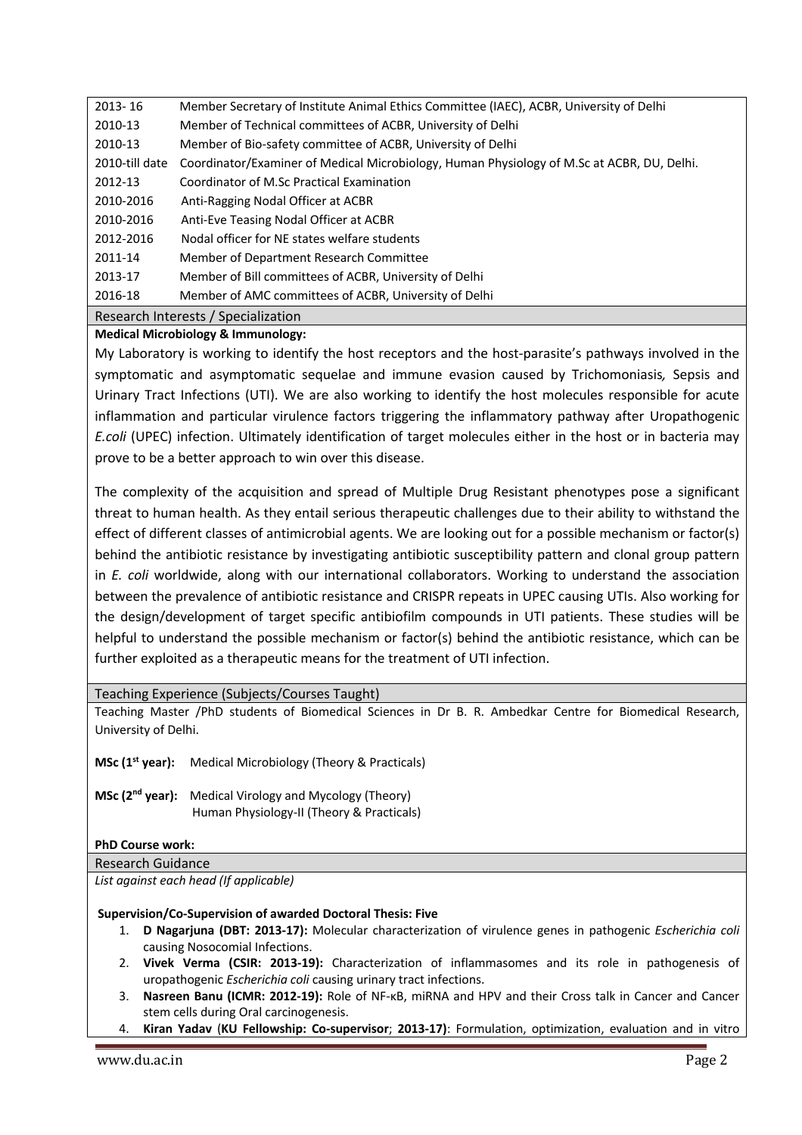| 2013-16        | Member Secretary of Institute Animal Ethics Committee (IAEC), ACBR, University of Delhi    |
|----------------|--------------------------------------------------------------------------------------------|
| 2010-13        | Member of Technical committees of ACBR, University of Delhi                                |
| 2010-13        | Member of Bio-safety committee of ACBR, University of Delhi                                |
| 2010-till date | Coordinator/Examiner of Medical Microbiology, Human Physiology of M.Sc at ACBR, DU, Delhi. |
| 2012-13        | Coordinator of M.Sc Practical Examination                                                  |
| 2010-2016      | Anti-Ragging Nodal Officer at ACBR                                                         |
| 2010-2016      | Anti-Eve Teasing Nodal Officer at ACBR                                                     |
| 2012-2016      | Nodal officer for NE states welfare students                                               |
| 2011-14        | Member of Department Research Committee                                                    |
| 2013-17        | Member of Bill committees of ACBR, University of Delhi                                     |
| 2016-18        | Member of AMC committees of ACBR, University of Delhi                                      |
|                | Research Interests / Specialization                                                        |

# **Medical Microbiology & Immunology:**

My Laboratory is working to identify the host receptors and the host-parasite's pathways involved in the symptomatic and asymptomatic sequelae and immune evasion caused by Trichomoniasis*,* Sepsis and Urinary Tract Infections (UTI). We are also working to identify the host molecules responsible for acute inflammation and particular virulence factors triggering the inflammatory pathway after Uropathogenic *E.coli* (UPEC) infection. Ultimately identification of target molecules either in the host or in bacteria may prove to be a better approach to win over this disease.

The complexity of the acquisition and spread of Multiple Drug Resistant phenotypes pose a significant threat to human health. As they entail serious therapeutic challenges due to their ability to withstand the effect of different classes of antimicrobial agents. We are looking out for a possible mechanism or factor(s) behind the antibiotic resistance by investigating antibiotic susceptibility pattern and clonal group pattern in *E. coli* worldwide, along with our international collaborators. Working to understand the association between the prevalence of antibiotic resistance and CRISPR repeats in UPEC causing UTIs. Also working for the design/development of target specific antibiofilm compounds in UTI patients. These studies will be helpful to understand the possible mechanism or factor(s) behind the antibiotic resistance, which can be further exploited as a therapeutic means for the treatment of UTI infection.

Teaching Experience (Subjects/Courses Taught)

Teaching Master /PhD students of Biomedical Sciences in Dr B. R. Ambedkar Centre for Biomedical Research, University of Delhi.

**MSc (1<sup>st</sup> year):** Medical Microbiology (Theory & Practicals)

**MSc (2nd year):** Medical Virology and Mycology (Theory) Human Physiology-II (Theory & Practicals)

# **PhD Course work:**

## Research Guidance

*List against each head (If applicable)*

## **Supervision/Co-Supervision of awarded Doctoral Thesis: Five**

- 1. **D Nagarjuna (DBT: 2013-17):** Molecular characterization of virulence genes in pathogenic *Escherichia coli* causing Nosocomial Infections.
- 2. **Vivek Verma (CSIR: 2013-19):** Characterization of inflammasomes and its role in pathogenesis of uropathogenic *Escherichia coli* causing urinary tract infections.
- 3. **Nasreen Banu (ICMR: 2012-19):** Role of NF-κB, miRNA and HPV and their Cross talk in Cancer and Cancer stem cells during Oral carcinogenesis.
- 4. **Kiran Yadav** (**KU Fellowship: Co-supervisor**; **2013-17)**: Formulation, optimization, evaluation and in vitro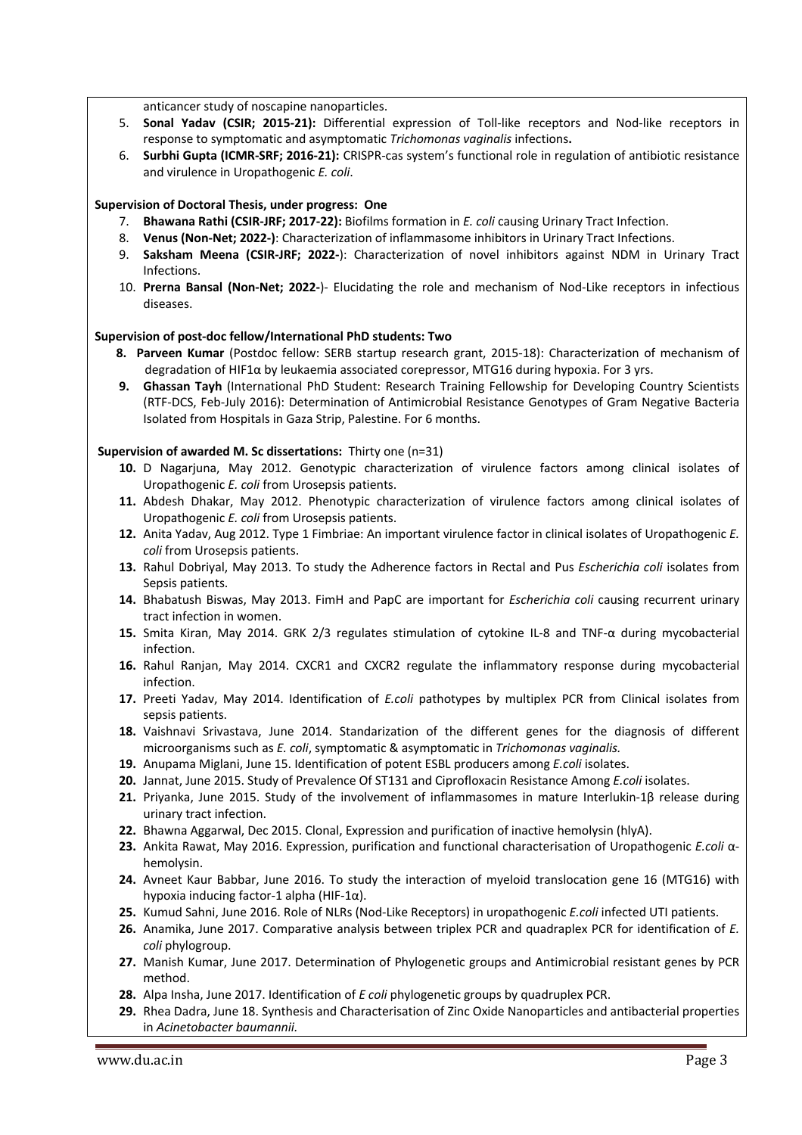anticancer study of noscapine nanoparticles.

- 5. **Sonal Yadav (CSIR; 2015-21):** Differential expression of Toll-like receptors and Nod-like receptors in response to symptomatic and asymptomatic *Trichomonas vaginalis* infections**.**
- 6. **Surbhi Gupta (ICMR-SRF; 2016-21):** CRISPR-cas system's functional role in regulation of antibiotic resistance and virulence in Uropathogenic *E. coli*.

# **Supervision of Doctoral Thesis, under progress: One**

- 7. **Bhawana Rathi (CSIR-JRF; 2017-22):** Biofilms formation in *E. coli* causing Urinary Tract Infection.
- 8. **Venus (Non-Net; 2022-)**: Characterization of inflammasome inhibitors in Urinary Tract Infections.
- 9. **Saksham Meena (CSIR-JRF; 2022-**): Characterization of novel inhibitors against NDM in Urinary Tract Infections.
- 10. **Prerna Bansal (Non-Net; 2022-**)- Elucidating the role and mechanism of Nod-Like receptors in infectious diseases.

## **Supervision of post-doc fellow/International PhD students: Two**

- **8. Parveen Kumar** (Postdoc fellow: SERB startup research grant, 2015-18): Characterization of mechanism of degradation of HIF1α by leukaemia associated corepressor, MTG16 during hypoxia. For 3 yrs.
- **9. Ghassan Tayh** (International PhD Student: Research Training Fellowship for Developing Country Scientists (RTF-DCS, Feb-July 2016): Determination of Antimicrobial Resistance Genotypes of Gram Negative Bacteria Isolated from Hospitals in Gaza Strip, Palestine. For 6 months.

## **Supervision of awarded M. Sc dissertations:** Thirty one (n=31)

- **10.** D Nagarjuna, May 2012. Genotypic characterization of virulence factors among clinical isolates of Uropathogenic *E. coli* from Urosepsis patients.
- **11.** Abdesh Dhakar, May 2012. Phenotypic characterization of virulence factors among clinical isolates of Uropathogenic *E. coli* from Urosepsis patients.
- **12.** Anita Yadav, Aug 2012. Type 1 Fimbriae: An important virulence factor in clinical isolates of Uropathogenic *E. coli* from Urosepsis patients.
- **13.** Rahul Dobriyal, May 2013. To study the Adherence factors in Rectal and Pus *Escherichia coli* isolates from Sepsis patients.
- **14.** Bhabatush Biswas, May 2013. FimH and PapC are important for *Escherichia coli* causing recurrent urinary tract infection in women.
- **15.** Smita Kiran, May 2014. GRK 2/3 regulates stimulation of cytokine IL-8 and TNF-α during mycobacterial infection.
- **16.** Rahul Ranjan, May 2014. CXCR1 and CXCR2 regulate the inflammatory response during mycobacterial infection.
- **17.** Preeti Yadav, May 2014. Identification of *E.coli* pathotypes by multiplex PCR from Clinical isolates from sepsis patients.
- **18.** Vaishnavi Srivastava, June 2014. Standarization of the different genes for the diagnosis of different microorganisms such as *E. coli*, symptomatic & asymptomatic in *Trichomonas vaginalis.*
- **19.** Anupama Miglani, June 15. Identification of potent ESBL producers among *E.coli* isolates.
- **20.** Jannat, June 2015. Study of Prevalence Of ST131 and Ciprofloxacin Resistance Among *E.coli* isolates.
- **21.** Priyanka, June 2015. Study of the involvement of inflammasomes in mature Interlukin-1β release during urinary tract infection.
- **22.** Bhawna Aggarwal, Dec 2015. Clonal, Expression and purification of inactive hemolysin (hlyA).
- **23.** Ankita Rawat, May 2016. Expression, purification and functional characterisation of Uropathogenic *E.coli* αhemolysin.
- **24.** Avneet Kaur Babbar, June 2016. To study the interaction of myeloid translocation gene 16 (MTG16) with hypoxia inducing factor-1 alpha (HIF-1α).
- **25.** Kumud Sahni, June 2016. Role of NLRs (Nod-Like Receptors) in uropathogenic *E.coli* infected UTI patients.
- **26.** Anamika, June 2017. Comparative analysis between triplex PCR and quadraplex PCR for identification of *E. coli* phylogroup.
- **27.** Manish Kumar, June 2017. Determination of Phylogenetic groups and Antimicrobial resistant genes by PCR method.
- **28.** Alpa Insha, June 2017. Identification of *E coli* phylogenetic groups by quadruplex PCR.
- **29.** Rhea Dadra, June 18. Synthesis and Characterisation of Zinc Oxide Nanoparticles and antibacterial properties in *Acinetobacter baumannii.*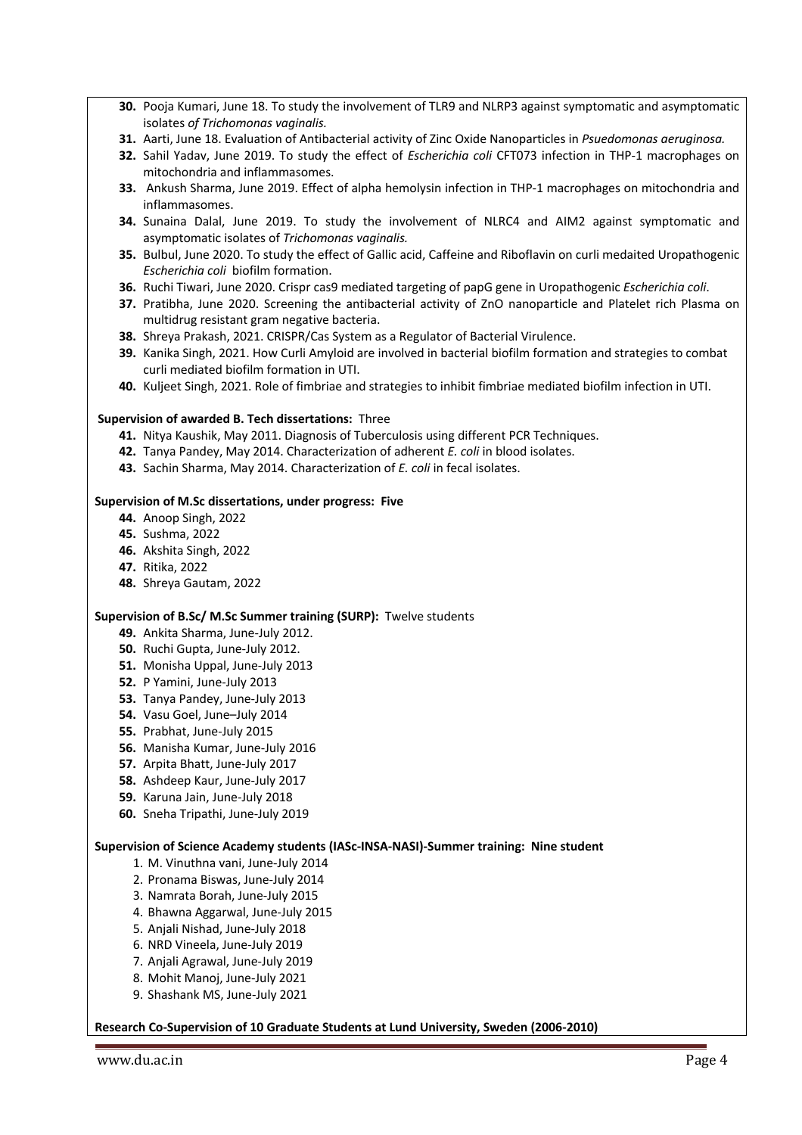- **30.** Pooja Kumari, June 18. To study the involvement of TLR9 and NLRP3 against symptomatic and asymptomatic isolates *of Trichomonas vaginalis.*
- **31.** Aarti, June 18. Evaluation of Antibacterial activity of Zinc Oxide Nanoparticles in *Psuedomonas aeruginosa.*
- **32.** Sahil Yadav, June 2019. To study the effect of *Escherichia coli* CFT073 infection in THP-1 macrophages on mitochondria and inflammasomes.
- **33.** Ankush Sharma, June 2019. Effect of alpha hemolysin infection in THP-1 macrophages on mitochondria and inflammasomes.
- **34.** Sunaina Dalal, June 2019. To study the involvement of NLRC4 and AIM2 against symptomatic and asymptomatic isolates of *Trichomonas vaginalis.*
- **35.** Bulbul, June 2020. To study the effect of Gallic acid, Caffeine and Riboflavin on curli medaited Uropathogenic *Escherichia coli* biofilm formation.
- **36.** Ruchi Tiwari, June 2020. Crispr cas9 mediated targeting of papG gene in Uropathogenic *Escherichia coli*.
- **37.** Pratibha, June 2020. Screening the antibacterial activity of ZnO nanoparticle and Platelet rich Plasma on multidrug resistant gram negative bacteria.
- **38.** Shreya Prakash, 2021. CRISPR/Cas System as a Regulator of Bacterial Virulence.
- **39.** Kanika Singh, 2021. How Curli Amyloid are involved in bacterial biofilm formation and strategies to combat curli mediated biofilm formation in UTI.
- **40.** Kuljeet Singh, 2021. Role of fimbriae and strategies to inhibit fimbriae mediated biofilm infection in UTI.

## **Supervision of awarded B. Tech dissertations:** Three

- **41.** Nitya Kaushik, May 2011. Diagnosis of Tuberculosis using different PCR Techniques.
- **42.** Tanya Pandey, May 2014. Characterization of adherent *E. coli* in blood isolates.
- **43.** Sachin Sharma, May 2014. Characterization of *E. coli* in fecal isolates.

#### **Supervision of M.Sc dissertations, under progress: Five**

- **44.** Anoop Singh, 2022
- **45.** Sushma, 2022
- **46.** Akshita Singh, 2022
- **47.** Ritika, 2022
- **48.** Shreya Gautam, 2022

#### **Supervision of B.Sc/ M.Sc Summer training (SURP):** Twelve students

- **49.** Ankita Sharma, June-July 2012.
- **50.** Ruchi Gupta, June-July 2012.
- **51.** Monisha Uppal, June-July 2013
- **52.** P Yamini, June-July 2013
- **53.** Tanya Pandey, June-July 2013
- **54.** Vasu Goel, June–July 2014
- **55.** Prabhat, June-July 2015
- **56.** Manisha Kumar, June-July 2016
- **57.** Arpita Bhatt, June-July 2017
- **58.** Ashdeep Kaur, June-July 2017
- **59.** Karuna Jain, June-July 2018
- **60.** Sneha Tripathi, June-July 2019

#### **Supervision of Science Academy students (IASc-INSA-NASI)-Summer training: Nine student**

- 1. M. Vinuthna vani, June-July 2014
- 2. Pronama Biswas, June-July 2014
- 3. Namrata Borah, June-July 2015
- 4. Bhawna Aggarwal, June-July 2015
- 5. Anjali Nishad, June-July 2018
- 6. NRD Vineela, June-July 2019
- 7. Anjali Agrawal, June-July 2019
- 8. Mohit Manoj, June-July 2021
- 9. Shashank MS, June-July 2021

#### **Research Co-Supervision of 10 Graduate Students at Lund University, Sweden (2006-2010)**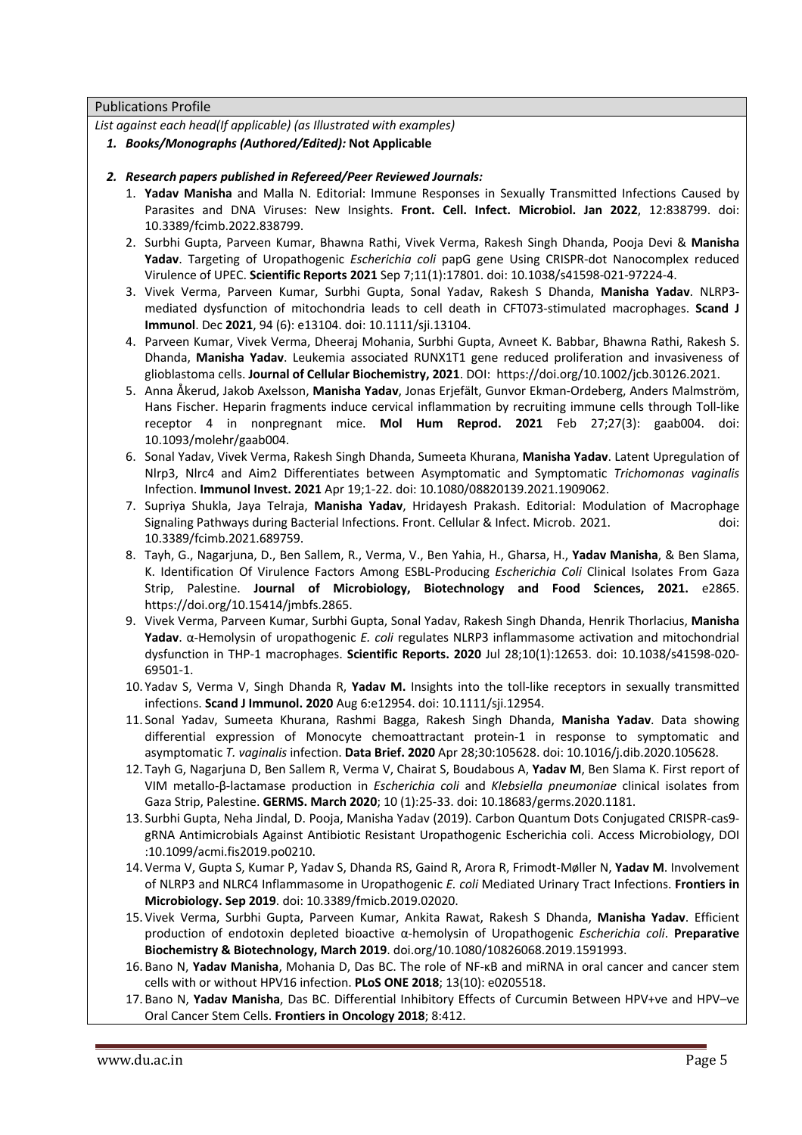## Publications Profile

*List against each head(If applicable) (as Illustrated with examples)* 

- *1. Books/Monographs (Authored/Edited):* **Not Applicable**
- *2. Research papers published in Refereed/Peer Reviewed Journals:*
	- 1. **Yadav Manisha** and Malla N. Editorial: Immune Responses in Sexually Transmitted Infections Caused by Parasites and DNA Viruses: New Insights. **Front. Cell. Infect. Microbiol. Jan 2022**, 12:838799. doi: 10.3389/fcimb.2022.838799.
	- 2. Surbhi Gupta, Parveen Kumar, Bhawna Rathi, Vivek Verma, Rakesh Singh Dhanda, Pooja Devi & **Manisha Yadav**. Targeting of Uropathogenic *Escherichia coli* papG gene Using CRISPR-dot Nanocomplex reduced Virulence of UPEC. **Scientific Reports 2021** Sep 7;11(1):17801. doi: 10.1038/s41598-021-97224-4.
	- 3. Vivek Verma, Parveen Kumar, Surbhi Gupta, Sonal Yadav, Rakesh S Dhanda, **Manisha Yadav**. NLRP3 mediated dysfunction of mitochondria leads to cell death in CFT073-stimulated macrophages. **Scand J Immunol**. Dec **2021**, 94 (6): e13104. doi: 10.1111/sji.13104.
	- 4. Parveen Kumar, Vivek Verma, Dheeraj Mohania, Surbhi Gupta, Avneet K. Babbar, Bhawna Rathi, Rakesh S. Dhanda, **Manisha Yadav**. Leukemia associated RUNX1T1 gene reduced proliferation and invasiveness of glioblastoma cells. **Journal of Cellular Biochemistry, 2021**. DOI: https://doi.org/10.1002/jcb.30126.2021.
	- 5. Anna Åkerud, Jakob Axelsson, **Manisha Yadav**, Jonas Erjefält, Gunvor Ekman-Ordeberg, Anders Malmström, Hans Fischer. Heparin fragments induce cervical inflammation by recruiting immune cells through Toll-like receptor 4 in nonpregnant mice. **Mol Hum Reprod. 2021** Feb 27;27(3): gaab004. doi: 10.1093/molehr/gaab004.
	- 6. Sonal Yadav, Vivek Verma, Rakesh Singh Dhanda, Sumeeta Khurana, **Manisha Yadav**. Latent Upregulation of Nlrp3, Nlrc4 and Aim2 Differentiates between Asymptomatic and Symptomatic *Trichomonas vaginalis* Infection. **Immunol Invest. 2021** Apr 19;1-22. doi: 10.1080/08820139.2021.1909062.
	- 7. Supriya Shukla, Jaya Telraja, **Manisha Yadav**, Hridayesh Prakash. Editorial: Modulation of Macrophage Signaling Pathways during Bacterial Infections. Front. Cellular & Infect. Microb. 2021. doi: 10.3389/fcimb.2021.689759.
	- 8. Tayh, G., Nagarjuna, D., Ben Sallem, R., Verma, V., Ben Yahia, H., Gharsa, H., **Yadav Manisha**, & Ben Slama, K. Identification Of Virulence Factors Among ESBL-Producing *Escherichia Coli* Clinical Isolates From Gaza Strip, Palestine. **Journal of Microbiology, Biotechnology and Food Sciences, 2021.** e2865. https://doi.org/10.15414/jmbfs.2865.
	- 9. Vivek Verma, Parveen Kumar, Surbhi Gupta, Sonal Yadav, Rakesh Singh Dhanda, Henrik Thorlacius, **Manisha Yadav**. α-Hemolysin of uropathogenic *E. coli* regulates NLRP3 inflammasome activation and mitochondrial dysfunction in THP-1 macrophages. **Scientific Reports. 2020** Jul 28;10(1):12653. doi: 10.1038/s41598-020- 69501-1.
	- 10. Yadav S, Verma V, Singh Dhanda R, **Yadav M.** Insights into the toll-like receptors in sexually transmitted infections. **Scand J Immunol. 2020** Aug 6:e12954. doi: 10.1111/sji.12954.
	- 11. Sonal Yadav, Sumeeta Khurana, Rashmi Bagga, Rakesh Singh Dhanda, **Manisha Yadav**. Data showing differential expression of Monocyte chemoattractant protein-1 in response to symptomatic and asymptomatic *T. vaginalis* infection. **Data Brief. 2020** Apr 28;30:105628. doi: 10.1016/j.dib.2020.105628.
	- 12. Tayh G, Nagarjuna D, Ben Sallem R, Verma V, Chairat S, Boudabous A, **Yadav M**, Ben Slama K. First report of VIM metallo-β-lactamase production in *Escherichia coli* and *Klebsiella pneumoniae* clinical isolates from Gaza Strip, Palestine. **GERMS. March 2020**; 10 (1):25-33. doi: 10.18683/germs.2020.1181.
	- 13. Surbhi Gupta, Neha Jindal, D. Pooja, Manisha Yadav (2019). Carbon Quantum Dots Conjugated CRISPR-cas9 gRNA Antimicrobials Against Antibiotic Resistant Uropathogenic Escherichia coli. Access Microbiology, DOI :10.1099/acmi.fis2019.po0210.
	- 14. Verma V, Gupta S, Kumar P, Yadav S, Dhanda RS, Gaind R, Arora R, Frimodt-Møller N, **Yadav M**. Involvement of NLRP3 and NLRC4 Inflammasome in Uropathogenic *E. coli* Mediated Urinary Tract Infections. **Frontiers in Microbiology. Sep 2019**. doi: 10.3389/fmicb.2019.02020.
	- 15. Vivek Verma, Surbhi Gupta, Parveen Kumar, Ankita Rawat, Rakesh S Dhanda, **Manisha Yadav**. Efficient production of endotoxin depleted bioactive α-hemolysin of Uropathogenic *Escherichia coli*. **Preparative Biochemistry & Biotechnology, March 2019**. doi.org/10.1080/10826068.2019.1591993.
	- 16. Bano N, **Yadav Manisha**, Mohania D, Das BC. The role of NF-κB and miRNA in oral cancer and cancer stem cells with or without HPV16 infection. **PLoS ONE 2018**; 13(10): e0205518.
	- 17. Bano N, **Yadav Manisha**, Das BC. Differential Inhibitory Effects of Curcumin Between HPV+ve and HPV–ve Oral Cancer Stem Cells. **Frontiers in Oncology 2018**; 8:412.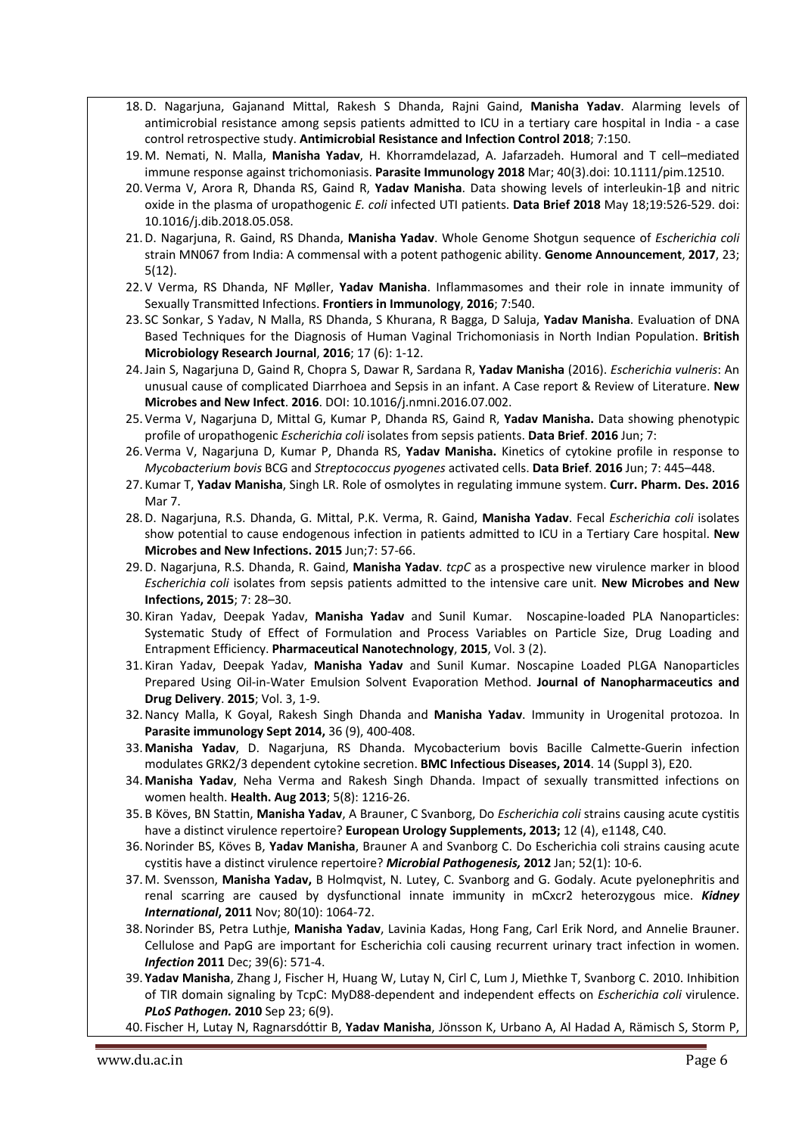- 18.D. Nagarjuna, Gajanand Mittal, Rakesh S Dhanda, Rajni Gaind, **Manisha Yadav**. Alarming levels of antimicrobial resistance among sepsis patients admitted to ICU in a tertiary care hospital in India - a case control retrospective study. **Antimicrobial Resistance and Infection Control 2018**; 7:150.
- 19. M. Nemati, N. Malla, **Manisha Yadav**, H. Khorramdelazad, A. Jafarzadeh. Humoral and T cell–mediated immune response against trichomoniasis. **Parasite Immunology 2018** Mar; 40(3).doi: 10.1111/pim.12510.
- 20. Verma V, Arora R, Dhanda RS, Gaind R, **Yadav Manisha**. Data showing levels of interleukin-1β and nitric oxide in the plasma of uropathogenic *E. coli* infected UTI patients. **Data Brief 2018** May 18;19:526-529. doi: 10.1016/j.dib.2018.05.058.
- 21.D. Nagarjuna, R. Gaind, RS Dhanda, **Manisha Yadav**. Whole Genome Shotgun sequence of *Escherichia coli* strain MN067 from India: A commensal with a potent pathogenic ability. **Genome Announcement**, **2017**, 23; 5(12).
- 22. V Verma, RS Dhanda, NF Møller, **Yadav Manisha**. Inflammasomes and their role in innate immunity of Sexually Transmitted Infections. **Frontiers in Immunology**, **2016**; 7:540.
- 23. SC Sonkar, S Yadav, N Malla, RS Dhanda, S Khurana, R Bagga, D Saluja, **Yadav Manisha**. Evaluation of DNA Based Techniques for the Diagnosis of Human Vaginal Trichomoniasis in North Indian Population. **British Microbiology Research Journal**, **2016**; 17 (6): 1-12.
- 24.Jain S, Nagarjuna D, Gaind R, Chopra S, Dawar R, Sardana R, **Yadav Manisha** (2016). *Escherichia vulneris*: An unusual cause of complicated Diarrhoea and Sepsis in an infant. A Case report & Review of Literature. **New Microbes and New Infect**. **2016**. DOI: 10.1016/j.nmni.2016.07.002.
- 25. Verma V, Nagarjuna D, Mittal G, Kumar P, Dhanda RS, Gaind R, **Yadav Manisha.** Data showing phenotypic profile of uropathogenic *Escherichia coli* isolates from sepsis patients. **Data Brief**. **2016** Jun; 7:
- 26. Verma V, Nagarjuna D, Kumar P, Dhanda RS, **Yadav Manisha.** Kinetics of cytokine profile in response to *Mycobacterium bovis* BCG and *Streptococcus pyogenes* activated cells. **Data Brief**. **2016** Jun; 7: 445–448.
- 27. Kumar T, **Yadav Manisha**, Singh LR. Role of osmolytes in regulating immune system. **Curr. Pharm. Des. 2016** Mar 7.
- 28.D. Nagarjuna, R.S. Dhanda, G. Mittal, P.K. Verma, R. Gaind, **Manisha Yadav**. Fecal *Escherichia coli* isolates show potential to cause endogenous infection in patients admitted to ICU in a Tertiary Care hospital. **New Microbes and New Infections. 2015** Jun;7: 57-66.
- 29.D. Nagarjuna, R.S. Dhanda, R. Gaind, **Manisha Yadav**. *tcpC* as a prospective new virulence marker in blood *Escherichia coli* isolates from sepsis patients admitted to the intensive care unit*.* **New Microbes and New Infections, 2015**; 7: 28–30.
- 30. Kiran Yadav, Deepak Yadav, **Manisha Yadav** and Sunil Kumar. Noscapine-loaded PLA Nanoparticles: Systematic Study of Effect of Formulation and Process Variables on Particle Size, Drug Loading and Entrapment Efficiency. **Pharmaceutical Nanotechnology**, **2015**, Vol. 3 (2).
- 31. Kiran Yadav, Deepak Yadav, **Manisha Yadav** and Sunil Kumar. Noscapine Loaded PLGA Nanoparticles Prepared Using Oil-in-Water Emulsion Solvent Evaporation Method. **Journal of Nanopharmaceutics and Drug Delivery**. **2015**; Vol. 3, 1-9.
- 32.Nancy Malla, K Goyal, Rakesh Singh Dhanda and **Manisha Yadav**. Immunity in Urogenital protozoa. In **Parasite immunology Sept 2014,** 36 (9), 400-408.
- 33. **Manisha Yadav**, D. Nagarjuna, RS Dhanda. Mycobacterium bovis Bacille Calmette-Guerin infection modulates GRK2/3 dependent cytokine secretion. **BMC Infectious Diseases, 2014**. 14 (Suppl 3), E20.
- 34. **Manisha Yadav**, Neha Verma and Rakesh Singh Dhanda. Impact of sexually transmitted infections on women health. **Health. Aug 2013**; 5(8): 1216-26.
- 35. B Köves, BN Stattin, **Manisha Yadav**, A Brauner, C Svanborg, Do *Escherichia coli* strains causing acute cystitis have a distinct virulence repertoire? **European Urology Supplements, 2013;** 12 (4), e1148, C40.
- 36.Norinder BS, Köves B, **Yadav Manisha**, Brauner A and Svanborg C. Do Escherichia coli strains causing acute cystitis have a distinct virulence repertoire? *Microbial Pathogenesis,* **2012** Jan; 52(1): 10-6.
- 37. M. Svensson, **Manisha Yadav,** B Holmqvist, N. Lutey, C. Svanborg and G. Godaly. Acute pyelonephritis and renal scarring are caused by dysfunctional innate immunity in mCxcr2 heterozygous mice. *Kidney International***, 2011** Nov; 80(10): 1064-72.
- 38.Norinder BS, Petra Luthje, **Manisha Yadav**, Lavinia Kadas, Hong Fang, Carl Erik Nord, and Annelie Brauner. Cellulose and PapG are important for Escherichia coli causing recurrent urinary tract infection in women. *Infection* **2011** Dec; 39(6): 571-4.
- 39. **Yadav Manisha**, Zhang J, Fischer H, Huang W, Lutay N, Cirl C, Lum J, Miethke T, Svanborg C. 2010. Inhibition of TIR domain signaling by TcpC: MyD88-dependent and independent effects on *Escherichia coli* virulence. *PLoS Pathogen.* **2010** Sep 23; 6(9).
- 40. Fischer H, Lutay N, Ragnarsdóttir B, **Yadav Manisha**, Jönsson K, Urbano A, Al Hadad A, Rämisch S, Storm P,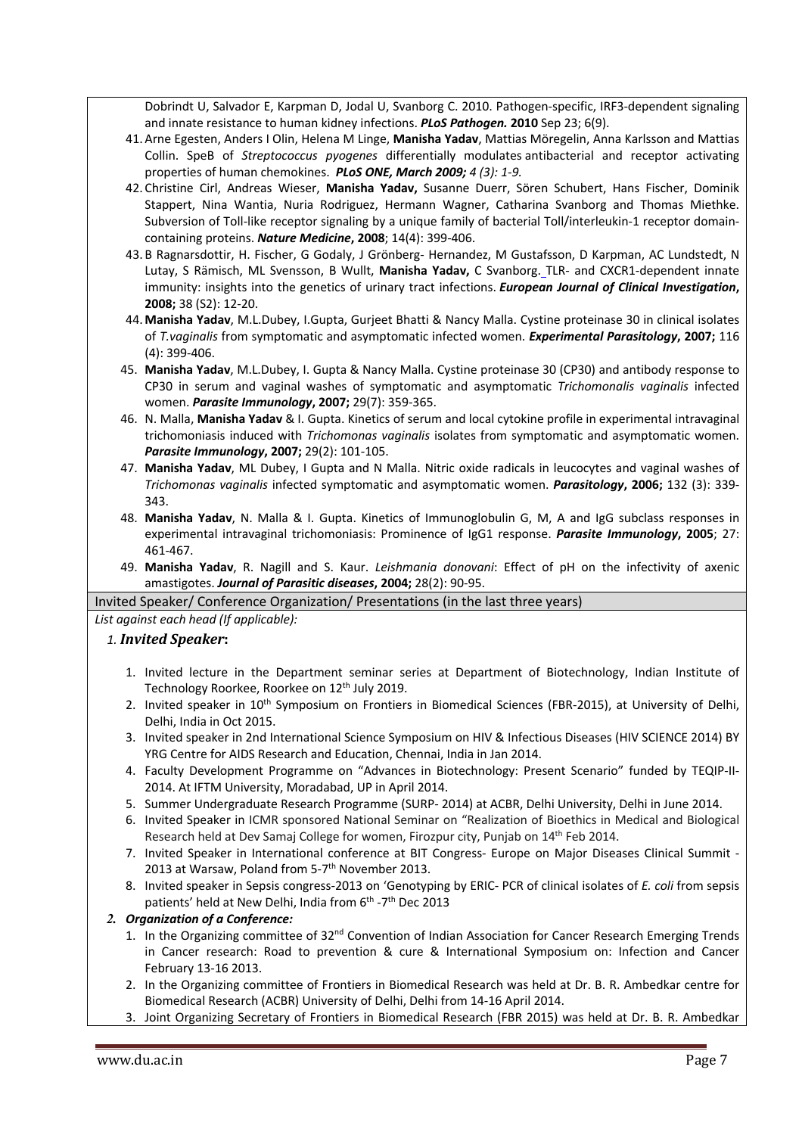Dobrindt U, Salvador E, Karpman D, Jodal U, Svanborg C. 2010. Pathogen-specific, IRF3-dependent signaling and innate resistance to human kidney infections. *PLoS Pathogen.* **2010** Sep 23; 6(9).

- 41. Arne Egesten, Anders I Olin, Helena M Linge, **Manisha Yadav**, Mattias Möregelin, Anna Karlsson and Mattias Collin. SpeB of *Streptococcus pyogenes* differentially modulates antibacterial and receptor activating properties of human chemokines. *PLoS ONE, March 2009; 4 (3): 1-9.*
- 42. Christine Cirl, Andreas Wieser, **Manisha Yadav,** Susanne Duerr, Sören Schubert, Hans Fischer, Dominik Stappert, Nina Wantia, Nuria Rodriguez, Hermann Wagner, Catharina Svanborg and Thomas Miethke. Subversion of Toll-like receptor signaling by a unique family of bacterial Toll/interleukin-1 receptor domaincontaining proteins. *Nature Medicine***, 2008**; 14(4): 399-406.
- 43. B Ragnarsdottir, H. Fischer, G Godaly, J Grönberg- Hernandez, M Gustafsson, D Karpman, AC Lundstedt, N Lutay, S Rämisch, ML Svensson, B Wullt, **Manisha Yadav,** C Svanborg. TLR- and CXCR1-dependent innate immunity: insights into the genetics of urinary tract infections. *European Journal of Clinical Investigation***, 2008;** 38 (S2): 12-20.
- 44. **Manisha Yadav**, M.L.Dubey, I.Gupta, Gurjeet Bhatti & Nancy Malla. Cystine proteinase 30 in clinical isolates of *T.vaginalis* from symptomatic and asymptomatic infected women. *Experimental Parasitology***, 2007;** 116 (4): 399-406.
- 45. **Manisha Yadav**, M.L.Dubey, I. Gupta & Nancy Malla. Cystine proteinase 30 (CP30) and antibody response to CP30 in serum and vaginal washes of symptomatic and asymptomatic *Trichomonalis vaginalis* infected women. *Parasite Immunology***, 2007;** 29(7): 359-365.
- 46. N. Malla, **Manisha Yadav** & I. Gupta. Kinetics of serum and local cytokine profile in experimental intravaginal trichomoniasis induced with *Trichomonas vaginalis* isolates from symptomatic and asymptomatic women. *Parasite Immunology***, 2007;** 29(2): 101-105.
- 47. **Manisha Yadav**, ML Dubey, I Gupta and N Malla. Nitric oxide radicals in leucocytes and vaginal washes of *Trichomonas vaginalis* infected symptomatic and asymptomatic women. *Parasitology***, 2006;** 132 (3): 339- 343.
- 48. **Manisha Yadav**, N. Malla & I. Gupta. Kinetics of Immunoglobulin G, M, A and IgG subclass responses in experimental intravaginal trichomoniasis: Prominence of IgG1 response. *Parasite Immunology***, 2005**; 27: 461-467.
- 49. **Manisha Yadav**, R. Nagill and S. Kaur. *Leishmania donovani*: Effect of pH on the infectivity of axenic amastigotes. *Journal of Parasitic diseases***, 2004;** 28(2): 90-95.

# Invited Speaker/ Conference Organization/ Presentations (in the last three years)

*List against each head (If applicable):*

# *1. Invited Speaker***:**

- 1. Invited lecture in the Department seminar series at Department of Biotechnology, Indian Institute of Technology Roorkee, Roorkee on 12<sup>th</sup> July 2019.
- 2. Invited speaker in 10<sup>th</sup> Symposium on Frontiers in Biomedical Sciences (FBR-2015), at University of Delhi, Delhi, India in Oct 2015.
- 3. Invited speaker in 2nd International Science Symposium on HIV & Infectious Diseases (HIV SCIENCE 2014) BY YRG Centre for AIDS Research and Education, Chennai, India in Jan 2014.
- 4. Faculty Development Programme on "Advances in Biotechnology: Present Scenario" funded by TEQIP-II-2014. At IFTM University, Moradabad, UP in April 2014.
- 5. Summer Undergraduate Research Programme (SURP- 2014) at ACBR, Delhi University, Delhi in June 2014.
- 6. Invited Speaker in ICMR sponsored National Seminar on "Realization of Bioethics in Medical and Biological Research held at Dev Samaj College for women, Firozpur city, Punjab on 14th Feb 2014.
- 7. Invited Speaker in International conference at BIT Congress- Europe on Major Diseases Clinical Summit 2013 at Warsaw, Poland from 5-7<sup>th</sup> November 2013.
- 8. Invited speaker in Sepsis congress-2013 on 'Genotyping by ERIC- PCR of clinical isolates of *E. coli* from sepsis patients' held at New Delhi, India from 6<sup>th</sup> -7<sup>th</sup> Dec 2013

# *2. Organization of a Conference:*

- 1. In the Organizing committee of 32<sup>nd</sup> Convention of Indian Association for Cancer Research Emerging Trends in Cancer research: Road to prevention & cure & International Symposium on: Infection and Cancer February 13-16 2013.
- 2. In the Organizing committee of Frontiers in Biomedical Research was held at Dr. B. R. Ambedkar centre for Biomedical Research (ACBR) University of Delhi, Delhi from 14-16 April 2014.
- 3. Joint Organizing Secretary of Frontiers in Biomedical Research (FBR 2015) was held at Dr. B. R. Ambedkar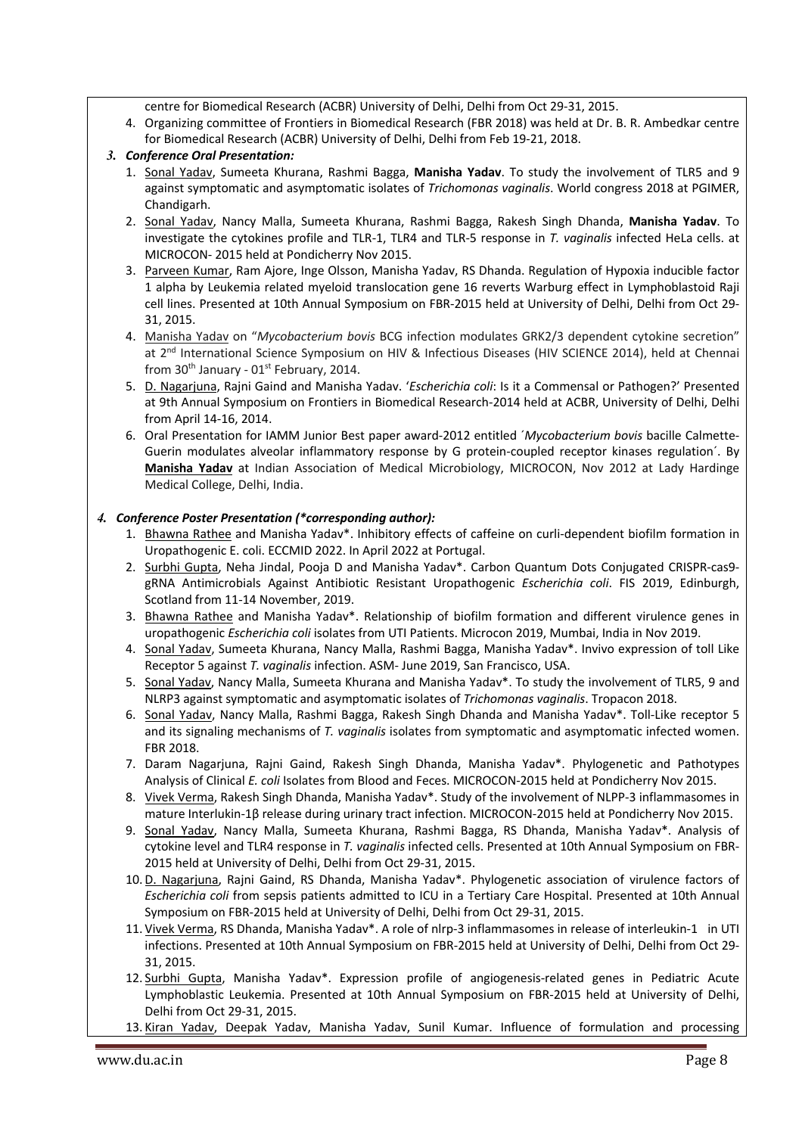centre for Biomedical Research (ACBR) University of Delhi, Delhi from Oct 29-31, 2015.

4. Organizing committee of Frontiers in Biomedical Research (FBR 2018) was held at Dr. B. R. Ambedkar centre for Biomedical Research (ACBR) University of Delhi, Delhi from Feb 19-21, 2018.

# *3. Conference Oral Presentation:*

- 1. Sonal Yadav, Sumeeta Khurana, Rashmi Bagga, **Manisha Yadav**. To study the involvement of TLR5 and 9 against symptomatic and asymptomatic isolates of *Trichomonas vaginalis*. World congress 2018 at PGIMER, Chandigarh.
- 2. Sonal Yadav, Nancy Malla, Sumeeta Khurana, Rashmi Bagga, Rakesh Singh Dhanda, **Manisha Yadav**. To investigate the cytokines profile and TLR-1, TLR4 and TLR-5 response in *T. vaginalis* infected HeLa cells. at MICROCON- 2015 held at Pondicherry Nov 2015.
- 3. Parveen Kumar, Ram Ajore, Inge Olsson, Manisha Yadav, RS Dhanda. Regulation of Hypoxia inducible factor 1 alpha by Leukemia related myeloid translocation gene 16 reverts Warburg effect in Lymphoblastoid Raji cell lines. Presented at 10th Annual Symposium on FBR-2015 held at University of Delhi, Delhi from Oct 29- 31, 2015.
- 4. Manisha Yadav on "*Mycobacterium bovis* BCG infection modulates GRK2/3 dependent cytokine secretion" at 2nd International Science Symposium on HIV & Infectious Diseases (HIV SCIENCE 2014), held at Chennai from  $30<sup>th</sup>$  January -  $01<sup>st</sup>$  February, 2014.
- 5. D. Nagarjuna, Rajni Gaind and Manisha Yadav. '*Escherichia coli*: Is it a Commensal or Pathogen?' Presented at 9th Annual Symposium on Frontiers in Biomedical Research-2014 held at ACBR, University of Delhi, Delhi from April 14-16, 2014.
- 6. Oral Presentation for IAMM Junior Best paper award-2012 entitled ´*Mycobacterium bovis* bacille Calmette-Guerin modulates alveolar inflammatory response by G protein-coupled receptor kinases regulation´. By **Manisha Yadav** at Indian Association of Medical Microbiology, MICROCON, Nov 2012 at Lady Hardinge Medical College, Delhi, India.

# *4. Conference Poster Presentation (\*corresponding author):*

- 1. Bhawna Rathee and Manisha Yadav\*. Inhibitory effects of caffeine on curli-dependent biofilm formation in Uropathogenic E. coli. ECCMID 2022. In April 2022 at Portugal.
- 2. Surbhi Gupta, Neha Jindal, Pooja D and Manisha Yadav\*. Carbon Quantum Dots Conjugated CRISPR-cas9 gRNA Antimicrobials Against Antibiotic Resistant Uropathogenic *Escherichia coli*. FIS 2019, Edinburgh, Scotland from 11-14 November, 2019.
- 3. Bhawna Rathee and Manisha Yadav\*. Relationship of biofilm formation and different virulence genes in uropathogenic *Escherichia coli* isolates from UTI Patients. Microcon 2019, Mumbai, India in Nov 2019.
- 4. Sonal Yadav, Sumeeta Khurana, Nancy Malla, Rashmi Bagga, Manisha Yadav\*. Invivo expression of toll Like Receptor 5 against *T. vaginalis* infection. ASM- June 2019, San Francisco, USA.
- 5. Sonal Yadav, Nancy Malla, Sumeeta Khurana and Manisha Yadav\*. To study the involvement of TLR5, 9 and NLRP3 against symptomatic and asymptomatic isolates of *Trichomonas vaginalis*. Tropacon 2018.
- 6. Sonal Yadav, Nancy Malla, Rashmi Bagga, Rakesh Singh Dhanda and Manisha Yadav\*. Toll-Like receptor 5 and its signaling mechanisms of *T. vaginalis* isolates from symptomatic and asymptomatic infected women. FBR 2018.
- 7. Daram Nagarjuna, Rajni Gaind, Rakesh Singh Dhanda, Manisha Yadav\*. Phylogenetic and Pathotypes Analysis of Clinical *E. coli* Isolates from Blood and Feces. MICROCON-2015 held at Pondicherry Nov 2015.
- 8. Vivek Verma, Rakesh Singh Dhanda, Manisha Yadav\*. Study of the involvement of NLPP-3 inflammasomes in mature Interlukin-1β release during urinary tract infection. MICROCON-2015 held at Pondicherry Nov 2015.
- 9. Sonal Yadav, Nancy Malla, Sumeeta Khurana, Rashmi Bagga, RS Dhanda, Manisha Yadav\*. Analysis of cytokine level and TLR4 response in *T. vaginalis* infected cells. Presented at 10th Annual Symposium on FBR-2015 held at University of Delhi, Delhi from Oct 29-31, 2015.
- 10.D. Nagarjuna, Rajni Gaind, RS Dhanda, Manisha Yadav\*. Phylogenetic association of virulence factors of *Escherichia coli* from sepsis patients admitted to ICU in a Tertiary Care Hospital. Presented at 10th Annual Symposium on FBR-2015 held at University of Delhi, Delhi from Oct 29-31, 2015.
- 11. Vivek Verma, RS Dhanda, Manisha Yadav\*. A role of nlrp-3 inflammasomes in release of interleukin-1 in UTI infections. Presented at 10th Annual Symposium on FBR-2015 held at University of Delhi, Delhi from Oct 29- 31, 2015.
- 12. Surbhi Gupta, Manisha Yadav\*. Expression profile of angiogenesis-related genes in Pediatric Acute Lymphoblastic Leukemia. Presented at 10th Annual Symposium on FBR-2015 held at University of Delhi, Delhi from Oct 29-31, 2015.
- 13. Kiran Yadav, Deepak Yadav, Manisha Yadav, Sunil Kumar. Influence of formulation and processing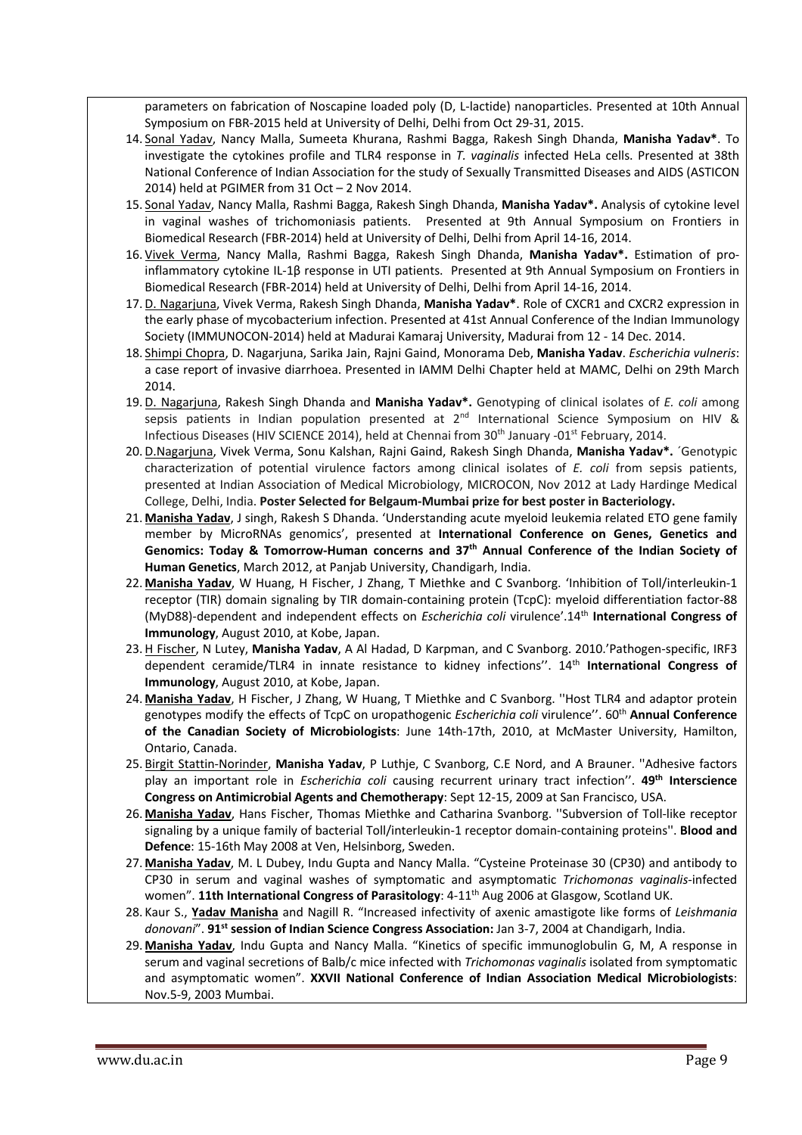parameters on fabrication of Noscapine loaded poly (D, L-lactide) nanoparticles. Presented at 10th Annual Symposium on FBR-2015 held at University of Delhi, Delhi from Oct 29-31, 2015.

- 14. Sonal Yadav, Nancy Malla, Sumeeta Khurana, Rashmi Bagga, Rakesh Singh Dhanda, **Manisha Yadav\***. To investigate the cytokines profile and TLR4 response in *T. vaginalis* infected HeLa cells. Presented at 38th National Conference of Indian Association for the study of Sexually Transmitted Diseases and AIDS (ASTICON 2014) held at PGIMER from 31 Oct – 2 Nov 2014.
- 15. Sonal Yadav, Nancy Malla, Rashmi Bagga, Rakesh Singh Dhanda, **Manisha Yadav\*.** Analysis of cytokine level in vaginal washes of trichomoniasis patients. Presented at 9th Annual Symposium on Frontiers in Biomedical Research (FBR-2014) held at University of Delhi, Delhi from April 14-16, 2014.
- 16. Vivek Verma, Nancy Malla, Rashmi Bagga, Rakesh Singh Dhanda, **Manisha Yadav\*.** Estimation of proinflammatory cytokine IL-1β response in UTI patients. Presented at 9th Annual Symposium on Frontiers in Biomedical Research (FBR-2014) held at University of Delhi, Delhi from April 14-16, 2014.
- 17.D. Nagarjuna, Vivek Verma, Rakesh Singh Dhanda, **Manisha Yadav\***. Role of CXCR1 and CXCR2 expression in the early phase of mycobacterium infection. Presented at 41st Annual Conference of the Indian Immunology Society (IMMUNOCON-2014) held at Madurai Kamaraj University, Madurai from 12 - 14 Dec. 2014.
- 18. Shimpi Chopra, D. Nagarjuna, Sarika Jain, Rajni Gaind, Monorama Deb, **Manisha Yadav**. *Escherichia vulneris*: a case report of invasive diarrhoea. Presented in IAMM Delhi Chapter held at MAMC, Delhi on 29th March 2014.
- 19.D. Nagarjuna, Rakesh Singh Dhanda and **Manisha Yadav\*.** Genotyping of clinical isolates of *E. coli* among sepsis patients in Indian population presented at  $2<sup>nd</sup>$  International Science Symposium on HIV & Infectious Diseases (HIV SCIENCE 2014), held at Chennai from 30<sup>th</sup> January -01<sup>st</sup> February, 2014.
- 20.D.Nagarjuna, Vivek Verma, Sonu Kalshan, Rajni Gaind, Rakesh Singh Dhanda, **Manisha Yadav\*.** ´Genotypic characterization of potential virulence factors among clinical isolates of *E. coli* from sepsis patients, presented at Indian Association of Medical Microbiology, MICROCON, Nov 2012 at Lady Hardinge Medical College, Delhi, India. **Poster Selected for Belgaum-Mumbai prize for best poster in Bacteriology.**
- 21. **Manisha Yadav**, J singh, Rakesh S Dhanda. 'Understanding acute myeloid leukemia related ETO gene family member by MicroRNAs genomics', presented at **International Conference on Genes, Genetics and Genomics: Today & Tomorrow-Human concerns and 37th Annual Conference of the Indian Society of Human Genetics**, March 2012, at Panjab University, Chandigarh, India.
- 22. **Manisha Yadav**, W Huang, H Fischer, J Zhang, T Miethke and C Svanborg. 'Inhibition of Toll/interleukin-1 receptor (TIR) domain signaling by TIR domain-containing protein (TcpC): myeloid differentiation factor-88 (MyD88)-dependent and independent effects on *Escherichia coli* virulence'.14th **International Congress of Immunology**, August 2010, at Kobe, Japan.
- 23.H Fischer, N Lutey, **Manisha Yadav**, A Al Hadad, D Karpman, and C Svanborg. 2010.'Pathogen-specific, IRF3 dependent ceramide/TLR4 in innate resistance to kidney infections''. 14th **International Congress of Immunology**, August 2010, at Kobe, Japan.
- 24. **Manisha Yadav**, H Fischer, J Zhang, W Huang, T Miethke and C Svanborg. ''Host TLR4 and adaptor protein genotypes modify the effects of TcpC on uropathogenic *Escherichia coli* virulence''. 60th **Annual Conference of the Canadian Society of Microbiologists**: June 14th-17th, 2010, at McMaster University, Hamilton, Ontario, Canada.
- 25. Birgit Stattin-Norinder, **Manisha Yadav**, P Luthje, C Svanborg, C.E Nord, and A Brauner. ''Adhesive factors play an important role in *Escherichia coli* causing recurrent urinary tract infection''. **49th Interscience Congress on Antimicrobial Agents and Chemotherapy**: Sept 12-15, 2009 at San Francisco, USA.
- 26. **Manisha Yadav**, Hans Fischer, Thomas Miethke and Catharina Svanborg. ''Subversion of Toll-like receptor signaling by a unique family of bacterial Toll/interleukin-1 receptor domain-containing proteins''. **Blood and Defence**: 15-16th May 2008 at Ven, Helsinborg, Sweden.
- 27. **Manisha Yadav**, M. L Dubey, Indu Gupta and Nancy Malla. "Cysteine Proteinase 30 (CP30) and antibody to CP30 in serum and vaginal washes of symptomatic and asymptomatic *Trichomonas vaginalis*-infected women". **11th International Congress of Parasitology**: 4-11<sup>th</sup> Aug 2006 at Glasgow, Scotland UK.
- 28. Kaur S., **Yadav Manisha** and Nagill R. "Increased infectivity of axenic amastigote like forms of *Leishmania donovani*". **91st session of Indian Science Congress Association:** Jan 3-7, 2004 at Chandigarh, India.
- 29. **Manisha Yadav**, Indu Gupta and Nancy Malla. "Kinetics of specific immunoglobulin G, M, A response in serum and vaginal secretions of Balb/c mice infected with *Trichomonas vaginalis* isolated from symptomatic and asymptomatic women". **XXVII National Conference of Indian Association Medical Microbiologists**: Nov.5-9, 2003 Mumbai.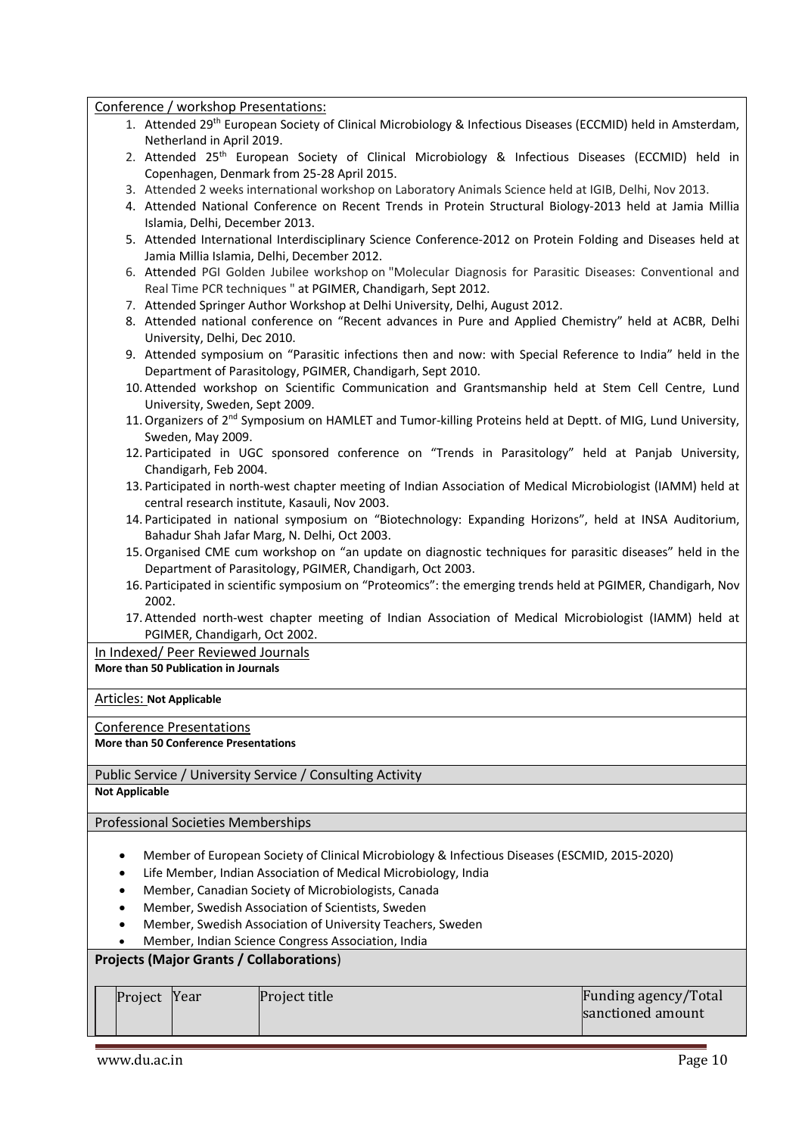## Conference / workshop Presentations:

- 1. Attended 29<sup>th</sup> European Society of Clinical Microbiology & Infectious Diseases (ECCMID) held in Amsterdam, Netherland in April 2019.
- 2. Attended 25<sup>th</sup> European Society of Clinical Microbiology & Infectious Diseases (ECCMID) held in Copenhagen, Denmark from 25-28 April 2015.
- 3. Attended 2 weeks international workshop on Laboratory Animals Science held at IGIB, Delhi, Nov 2013.
- 4. Attended National Conference on Recent Trends in Protein Structural Biology-2013 held at Jamia Millia Islamia, Delhi, December 2013.
- 5. Attended International Interdisciplinary Science Conference-2012 on Protein Folding and Diseases held at Jamia Millia Islamia, Delhi, December 2012.
- 6. Attended PGI Golden Jubilee workshop on "Molecular Diagnosis for Parasitic Diseases: Conventional and Real Time PCR techniques " at PGIMER, Chandigarh, Sept 2012.
- 7. Attended Springer Author Workshop at Delhi University, Delhi, August 2012.
- 8. Attended national conference on "Recent advances in Pure and Applied Chemistry" held at ACBR, Delhi University, Delhi, Dec 2010.
- 9. Attended symposium on "Parasitic infections then and now: with Special Reference to India" held in the Department of Parasitology, PGIMER, Chandigarh, Sept 2010.
- 10. Attended workshop on Scientific Communication and Grantsmanship held at Stem Cell Centre, Lund University, Sweden, Sept 2009.
- 11. Organizers of 2<sup>nd</sup> Symposium on HAMLET and Tumor-killing Proteins held at Deptt. of MIG, Lund University, Sweden, May 2009.
- 12. Participated in UGC sponsored conference on "Trends in Parasitology" held at Panjab University, Chandigarh, Feb 2004.
- 13. Participated in north-west chapter meeting of Indian Association of Medical Microbiologist (IAMM) held at central research institute, Kasauli, Nov 2003.
- 14. Participated in national symposium on "Biotechnology: Expanding Horizons", held at INSA Auditorium, Bahadur Shah Jafar Marg, N. Delhi, Oct 2003.
- 15.Organised CME cum workshop on "an update on diagnostic techniques for parasitic diseases" held in the Department of Parasitology, PGIMER, Chandigarh, Oct 2003.
- 16. Participated in scientific symposium on "Proteomics": the emerging trends held at PGIMER, Chandigarh, Nov 2002.
- 17. Attended north-west chapter meeting of Indian Association of Medical Microbiologist (IAMM) held at PGIMER, Chandigarh, Oct 2002.

In Indexed/ Peer Reviewed Journals

**More than 50 Publication in Journals**

Articles: **Not Applicable**

Conference Presentations

## **More than 50 Conference Presentations**

Public Service / University Service / Consulting Activity

**Not Applicable**

Professional Societies Memberships

- Member of European Society of Clinical Microbiology & Infectious Diseases (ESCMID, 2015-2020)
- Life Member, Indian Association of Medical Microbiology, India
- Member, Canadian Society of Microbiologists, Canada
- Member, Swedish Association of Scientists, Sweden
- Member, Swedish Association of University Teachers, Sweden
- Member, Indian Science Congress Association, India

# **Projects (Major Grants / Collaborations**)

| Project Year<br>sanctioned amount |  | Project title | Funding agency/Total |
|-----------------------------------|--|---------------|----------------------|
|                                   |  |               |                      |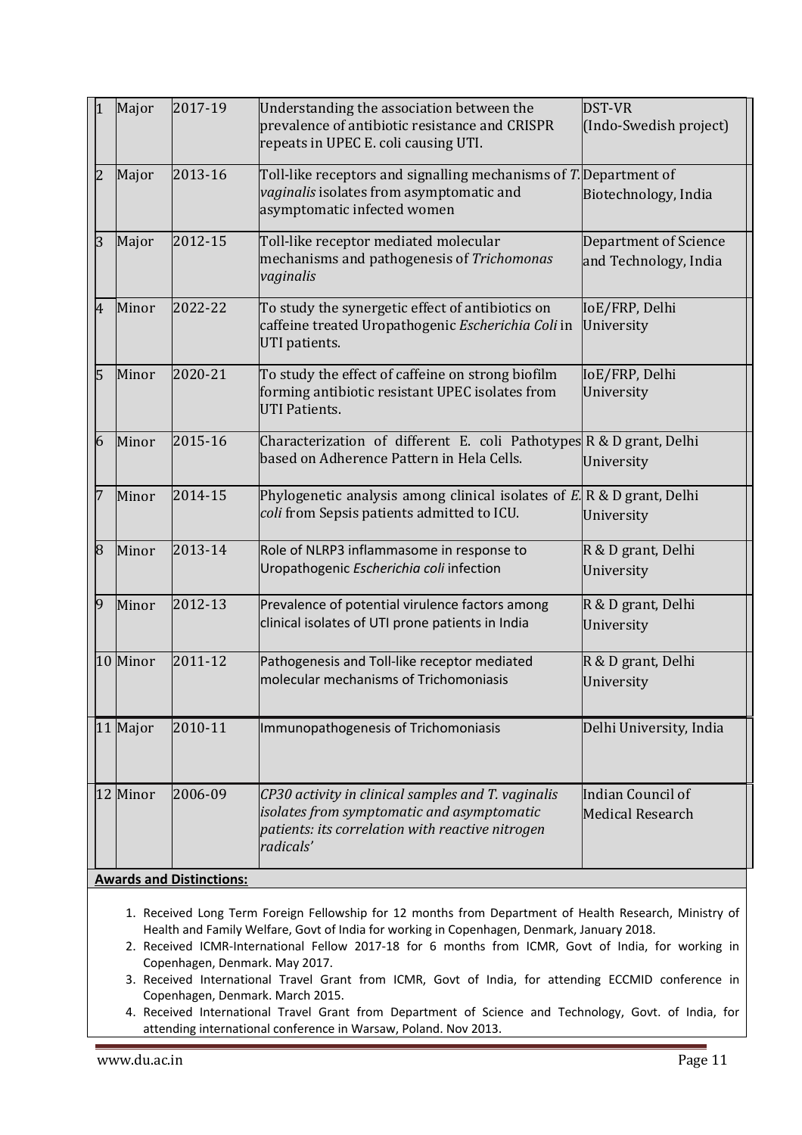| 1          | Major    | 2017-19                         | Understanding the association between the<br>prevalence of antibiotic resistance and CRISPR<br>repeats in UPEC E. coli causing UTI.                               | <b>DST-VR</b><br>(Indo-Swedish project)        |
|------------|----------|---------------------------------|-------------------------------------------------------------------------------------------------------------------------------------------------------------------|------------------------------------------------|
| l2         | Major    | 2013-16                         | Toll-like receptors and signalling mechanisms of $T$ . Department of<br>vaginalis isolates from asymptomatic and<br>asymptomatic infected women                   | Biotechnology, India                           |
| l3         | Major    | 2012-15                         | Toll-like receptor mediated molecular<br>mechanisms and pathogenesis of Trichomonas<br>vaginalis                                                                  | Department of Science<br>and Technology, India |
| 4          | Minor    | 2022-22                         | To study the synergetic effect of antibiotics on<br>caffeine treated Uropathogenic Escherichia Coli in<br>UTI patients.                                           | IoE/FRP, Delhi<br>University                   |
| 15         | Minor    | 2020-21                         | To study the effect of caffeine on strong biofilm<br>forming antibiotic resistant UPEC isolates from<br><b>UTI Patients.</b>                                      | IoE/FRP, Delhi<br>University                   |
| $\sqrt{6}$ | Minor    | 2015-16                         | Characterization of different E. coli Pathotypes $\mathbb{R}$ & D grant, Delhi<br>based on Adherence Pattern in Hela Cells.                                       | University                                     |
| 17         | Minor    | 2014-15                         | Phylogenetic analysis among clinical isolates of $E \,   \, R \otimes D$ grant, Delhi<br>coli from Sepsis patients admitted to ICU.                               | University                                     |
| 8          | Minor    | 2013-14                         | Role of NLRP3 inflammasome in response to<br>Uropathogenic Escherichia coli infection                                                                             | R & D grant, Delhi<br>University               |
| 9          | Minor    | 2012-13                         | Prevalence of potential virulence factors among<br>clinical isolates of UTI prone patients in India                                                               | R & D grant, Delhi<br>University               |
|            | 10 Minor | 2011-12                         | Pathogenesis and Toll-like receptor mediated<br>molecular mechanisms of Trichomoniasis                                                                            | R & D grant, Delhi<br>University               |
|            | 11 Major | 2010-11                         | Immunopathogenesis of Trichomoniasis                                                                                                                              | Delhi University, India                        |
|            | 12 Minor | 2006-09                         | CP30 activity in clinical samples and T. vaginalis<br>isolates from symptomatic and asymptomatic<br>patients: its correlation with reactive nitrogen<br>radicals' | Indian Council of<br><b>Medical Research</b>   |
|            |          | <b>Awards and Distinctions:</b> |                                                                                                                                                                   |                                                |

- 1. Received Long Term Foreign Fellowship for 12 months from Department of Health Research, Ministry of Health and Family Welfare, Govt of India for working in Copenhagen, Denmark, January 2018.
- 2. Received ICMR-International Fellow 2017-18 for 6 months from ICMR, Govt of India, for working in Copenhagen, Denmark. May 2017.
- 3. Received International Travel Grant from ICMR, Govt of India, for attending ECCMID conference in Copenhagen, Denmark. March 2015.
- 4. Received International Travel Grant from Department of Science and Technology, Govt. of India, for attending international conference in Warsaw, Poland. Nov 2013.